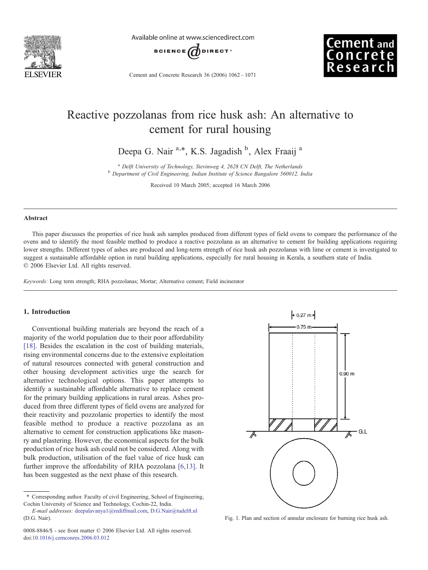<span id="page-0-0"></span>

Available online at www.sciencedirect.com



Cement and Concrete Research 36 (2006) 1062–1071

# Reactive pozzolanas from rice husk ash: An alternative to cement for rural housing

Deepa G. Nair<sup>a,\*</sup>, K.S. Jagadish<sup>b</sup>, Alex Fraaij<sup>a</sup>

<sup>a</sup> Delft University of Technology, Stevinweg 4, 2628 CN Delft, The Netherlands b Department of Civil Engineering, Indian Institute of Science Bangalore 560012, India

Received 10 March 2005; accepted 16 March 2006

#### Abstract

This paper discusses the properties of rice husk ash samples produced from different types of field ovens to compare the performance of the ovens and to identify the most feasible method to produce a reactive pozzolana as an alternative to cement for building applications requiring lower strengths. Different types of ashes are produced and long-term strength of rice husk ash pozzolanas with lime or cement is investigated to suggest a sustainable affordable option in rural building applications, especially for rural housing in Kerala, a southern state of India. © 2006 Elsevier Ltd. All rights reserved.

Keywords: Long term strength; RHA pozzolanas; Mortar; Alternative cement; Field incinerator

# 1. Introduction

Conventional building materials are beyond the reach of a majority of the world population due to their poor affordability [\[18\]](#page-9-0). Besides the escalation in the cost of building materials, rising environmental concerns due to the extensive exploitation of natural resources connected with general construction and other housing development activities urge the search for alternative technological options. This paper attempts to identify a sustainable affordable alternative to replace cement for the primary building applications in rural areas. Ashes produced from three different types of field ovens are analyzed for their reactivity and pozzolanic properties to identify the most feasible method to produce a reactive pozzolana as an alternative to cement for construction applications like masonry and plastering. However, the economical aspects for the bulk production of rice husk ash could not be considered. Along with bulk production, utilisation of the fuel value of rice husk can further improve the affordability of RHA pozzolana [\[6,13\].](#page-9-0) It has been suggested as the next phase of this research.



<sup>⁎</sup> Corresponding author. Faculty of civil Engineering, School of Engineering, Cochin University of Science and Technology, Cochin-22, India.

E-mail addresses: [deepalavanya1@rediffmail.com](mailto:deepalavanya1@rediffmail.com), [D.G.Nair@tudelft.nl](mailto:D.G.Nair@tudelft.nl) (D.G. Nair). Fig. 1. Plan and section of annular enclosure for burning rice husk ash.

<sup>0008-8846/\$ -</sup> see front matter © 2006 Elsevier Ltd. All rights reserved. doi:[10.1016/j.cemconres.2006.03.012](http://dx.doi.org/10.1016/j.cemconres.2006.03.012)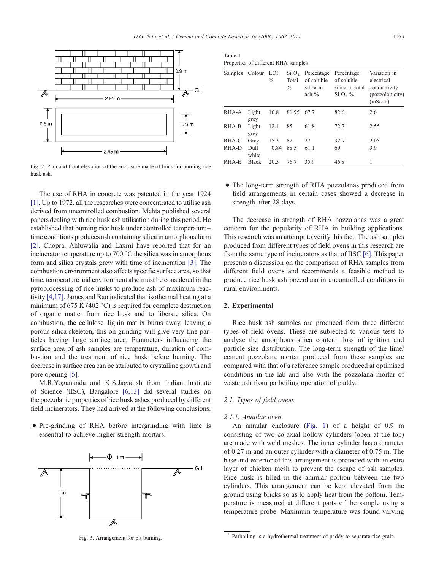<span id="page-1-0"></span>

Fig. 2. Plan and front elevation of the enclosure made of brick for burning rice husk ash.

The use of RHA in concrete was patented in the year 1924 [\[1\].](#page-9-0) Up to 1972, all the researches were concentrated to utilise ash derived from uncontrolled combustion. Mehta published several papers dealing with rice husk ash utilisation during this period. He established that burning rice husk under controlled temperature– time conditions produces ash containing silica in amorphous form [\[2\].](#page-9-0) Chopra, Ahluwalia and Laxmi have reported that for an incinerator temperature up to 700 °C the silica was in amorphous form and silica crystals grew with time of incineration [\[3\].](#page-9-0) The combustion environment also affects specific surface area, so that time, temperature and environment also must be considered in the pyroprocessing of rice husks to produce ash of maximum reactivity [\[4,17\]](#page-9-0). James and Rao indicated that isothermal heating at a minimum of 675 K (402 °C) is required for complete destruction of organic matter from rice husk and to liberate silica. On combustion, the cellulose–lignin matrix burns away, leaving a porous silica skeleton, this on grinding will give very fine particles having large surface area. Parameters influencing the surface area of ash samples are temperature, duration of combustion and the treatment of rice husk before burning. The decrease in surface area can be attributed to crystalline growth and pore opening [\[5\].](#page-9-0)

M.R.Yogananda and K.S.Jagadish from Indian Institute of Science (IISC), Bangalore [\[6,13\]](#page-9-0) did several studies on the pozzolanic properties of rice husk ashes produced by different field incinerators. They had arrived at the following conclusions.

• Pre-grinding of RHA before intergrinding with lime is essential to achieve higher strength mortars.



Table 1 Properties of different RHA samples

| Samples | Colour LOI    | $\frac{0}{0}$ | Si O <sub>2</sub><br>Total<br>$\frac{0}{0}$ | Percentage<br>of soluble<br>silica in<br>ash $\%$ | Percentage<br>of soluble<br>silica in total<br>Si $O_2$ % | Variation in<br>electrical<br>conductivity<br>(pozzolonicity)<br>(mS/cm) |
|---------|---------------|---------------|---------------------------------------------|---------------------------------------------------|-----------------------------------------------------------|--------------------------------------------------------------------------|
| RHA-A   | Light<br>grey | 10.8          | 81.95                                       | 67.7                                              | 82.6                                                      | 2.6                                                                      |
| RHA-B   | Light<br>grey | 12.1          | 85                                          | 61.8                                              | 72.7                                                      | 2.55                                                                     |
| RHA-C   | Grey          | 15.3          | 82                                          | 27                                                | 32.9                                                      | 2.05                                                                     |
| RHA-D   | Dull<br>white | 0.84          | 88.5                                        | 61.1                                              | 69                                                        | 3.9                                                                      |
| RHA-E   | <b>Black</b>  | 20.5          | 76.7                                        | 35.9                                              | 46.8                                                      |                                                                          |

• The long-term strength of RHA pozzolanas produced from field arrangements in certain cases showed a decrease in strength after 28 days.

The decrease in strength of RHA pozzolanas was a great concern for the popularity of RHA in building applications. This research was an attempt to verify this fact. The ash samples produced from different types of field ovens in this research are from the same type of incinerators as that of IISC [\[6\]](#page-9-0). This paper presents a discussion on the comparison of RHA samples from different field ovens and recommends a feasible method to produce rice husk ash pozzolana in uncontrolled conditions in rural environments.

## 2. Experimental

Rice husk ash samples are produced from three different types of field ovens. These are subjected to various tests to analyse the amorphous silica content, loss of ignition and particle size distribution. The long-term strength of the lime/ cement pozzolana mortar produced from these samples are compared with that of a reference sample produced at optimised conditions in the lab and also with the pozzolana mortar of waste ash from parboiling operation of paddy.<sup>1</sup>

## 2.1. Types of field ovens

#### 2.1.1. Annular oven

An annular enclosure [\(Fig. 1\)](#page-0-0) of a height of 0.9 m consisting of two co-axial hollow cylinders (open at the top) are made with weld meshes. The inner cylinder has a diameter of 0.27 m and an outer cylinder with a diameter of 0.75 m. The base and exterior of this arrangement is protected with an extra layer of chicken mesh to prevent the escape of ash samples. Rice husk is filled in the annular portion between the two cylinders. This arrangement can be kept elevated from the ground using bricks so as to apply heat from the bottom. Temperature is measured at different parts of the sample using a temperature probe. Maximum temperature was found varying

Fig. 3. Arrangement for pit burning. Parboiling is a hydrothermal treatment of paddy to separate rice grain.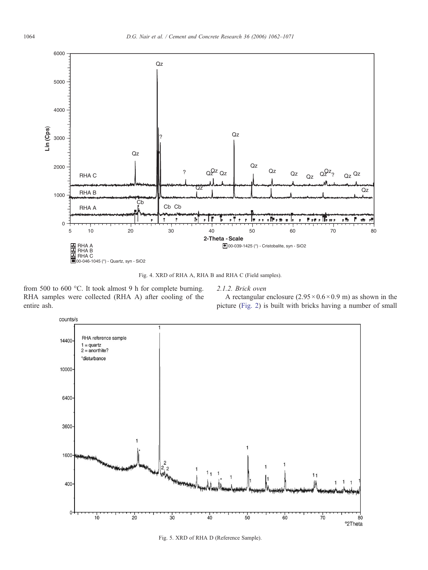<span id="page-2-0"></span>

Fig. 4. XRD of RHA A, RHA B and RHA C (Field samples).

from 500 to 600 °C. It took almost 9 h for complete burning. RHA samples were collected (RHA A) after cooling of the entire ash.

## 2.1.2. Brick oven

A rectangular enclosure  $(2.95 \times 0.6 \times 0.9 \text{ m})$  as shown in the picture ([Fig. 2](#page-1-0)) is built with bricks having a number of small



Fig. 5. XRD of RHA D (Reference Sample).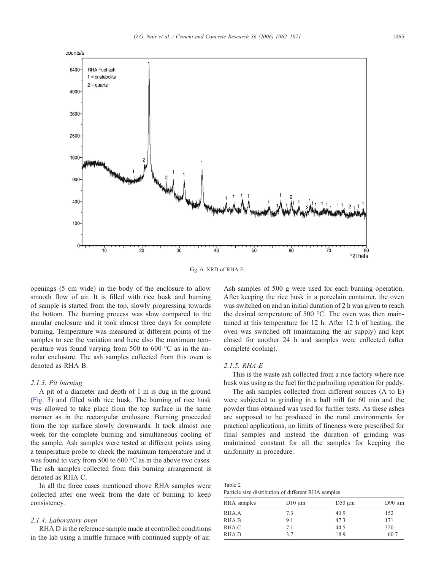<span id="page-3-0"></span>

Fig. 6. XRD of RHA E.

openings (5 cm wide) in the body of the enclosure to allow smooth flow of air. It is filled with rice husk and burning of sample is started from the top, slowly progressing towards the bottom. The burning process was slow compared to the annular enclosure and it took almost three days for complete burning. Temperature was measured at different points of the samples to see the variation and here also the maximum temperature was found varying from 500 to 600 °C as in the annular enclosure. The ash samples collected from this oven is denoted as RHA B.

## 2.1.3. Pit burning

A pit of a diameter and depth of 1 m is dug in the ground ([Fig. 3\)](#page-1-0) and filled with rice husk. The burning of rice husk was allowed to take place from the top surface in the same manner as in the rectangular enclosure. Burning proceeded from the top surface slowly downwards. It took almost one week for the complete burning and simultaneous cooling of the sample. Ash samples were tested at different points using a temperature probe to check the maximum temperature and it was found to vary from 500 to 600 °C as in the above two cases. The ash samples collected from this burning arrangement is denoted as RHA C.

In all the three cases mentioned above RHA samples were collected after one week from the date of burning to keep consistency.

## 2.1.4. Laboratory oven

RHA D is the reference sample made at controlled conditions in the lab using a muffle furnace with continued supply of air. Ash samples of 500 g were used for each burning operation. After keeping the rice husk in a porcelain container, the oven was switched on and an initial duration of 2 h was given to reach the desired temperature of 500 °C. The oven was then maintained at this temperature for 12 h. After 12 h of heating, the oven was switched off (maintaining the air supply) and kept closed for another 24 h and samples were collected (after complete cooling).

## 2.1.5. RHA E

This is the waste ash collected from a rice factory where rice husk was using as the fuel for the parboiling operation for paddy.

The ash samples collected from different sources (A to E) were subjected to grinding in a ball mill for 60 min and the powder thus obtained was used for further tests. As these ashes are supposed to be produced in the rural environments for practical applications, no limits of fineness were prescribed for final samples and instead the duration of grinding was maintained constant for all the samples for keeping the uniformity in procedure.

Table 2 Particle size distribution of different RHA samples

| RHA samples | $D10 \mu m$ | $D50 \mu m$ | $D90 \mu m$ |
|-------------|-------------|-------------|-------------|
| RHA.A       | 7.3         | 40.9        | 152         |
| RHA.B       | 9.1         | 47.3        | 171         |
| RHA.C       | 7.1         | 44.5        | 320         |
| RHA.D       | 3.7         | 18.9        | 60.7        |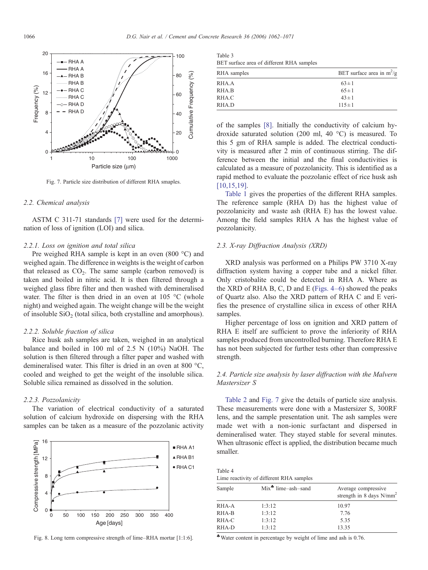<span id="page-4-0"></span>

Fig. 7. Particle size distribution of different RHA smaples.

#### 2.2. Chemical analysis

ASTM C 311-71 standards [\[7\]](#page-9-0) were used for the determination of loss of ignition (LOI) and silica.

## 2.2.1. Loss on ignition and total silica

Pre weighed RHA sample is kept in an oven (800 °C) and weighed again. The difference in weights is the weight of carbon that released as  $CO<sub>2</sub>$ . The same sample (carbon removed) is taken and boiled in nitric acid. It is then filtered through a weighed glass fibre filter and then washed with demineralised water. The filter is then dried in an oven at 105 °C (whole night) and weighed again. The weight change will be the weight of insoluble  $SiO<sub>2</sub>$  (total silica, both crystalline and amorphous).

## 2.2.2. Soluble fraction of silica

Rice husk ash samples are taken, weighed in an analytical balance and boiled in 100 ml of 2.5 N (10%) NaOH. The solution is then filtered through a filter paper and washed with demineralised water. This filter is dried in an oven at 800 °C, cooled and weighed to get the weight of the insoluble silica. Soluble silica remained as dissolved in the solution.

#### 2.2.3. Pozzolanicity

The variation of electrical conductivity of a saturated solution of calcium hydroxide on dispersing with the RHA samples can be taken as a measure of the pozzolanic activity



Fig. 8. Long term compressive strength of lime–RHA mortar [1:1:6].

| Table 3                                   |  |
|-------------------------------------------|--|
| BET surface area of different RHA samples |  |

| RHA samples | BET surface area in $m^2/g$ |
|-------------|-----------------------------|
| RHA.A       | $63 \pm 1$                  |
| RHA.B       | $65 \pm 1$                  |
| RHA.C       | $43 \pm 1$                  |
| RHA.D       | $115 \pm 1$                 |

of the samples [\[8\]](#page-9-0). Initially the conductivity of calcium hydroxide saturated solution (200 ml, 40 °C) is measured. To this 5 gm of RHA sample is added. The electrical conductivity is measured after 2 min of continuous stirring. The difference between the initial and the final conductivities is calculated as a measure of pozzolanicity. This is identified as a rapid method to evaluate the pozzolanic effect of rice husk ash [\[10,15,19\]](#page-9-0).

[Table 1](#page-1-0) gives the properties of the different RHA samples. The reference sample (RHA D) has the highest value of pozzolanicity and waste ash (RHA E) has the lowest value. Among the field samples RHA A has the highest value of pozzolanicity.

## 2.3. X-ray Diffraction Analysis (XRD)

XRD analysis was performed on a Philips PW 3710 X-ray diffraction system having a copper tube and a nickel filter. Only cristobalite could be detected in RHA A. Where as the XRD of RHA B, C, D and E (Figs.  $4-6$ ) showed the peaks of Quartz also. Also the XRD pattern of RHA C and E verifies the presence of crystalline silica in excess of other RHA samples.

Higher percentage of loss on ignition and XRD pattern of RHA E itself are sufficient to prove the inferiority of RHA samples produced from uncontrolled burning. Therefore RHA E has not been subjected for further tests other than compressive strength.

# 2.4. Particle size analysis by laser diffraction with the Malvern Mastersizer S

[Table 2](#page-3-0) and [Fig. 7](#page-2-0) give the details of particle size analysis. These measurements were done with a Mastersizer S, 300RF lens, and the sample presentation unit. The ash samples were made wet with a non-ionic surfactant and dispersed in demineralised water. They stayed stable for several minutes. When ultrasonic effect is applied, the distribution became much smaller.

Table 4 Lime reactivity of different RHA samples

| Sample | $Mix^*$ lime-ash-sand | Average compressive<br>strength in 8 days $N/mm^2$ |  |  |  |  |  |
|--------|-----------------------|----------------------------------------------------|--|--|--|--|--|
| RHA-A  | 1:3:12                | 10.97                                              |  |  |  |  |  |
| RHA-B  | 1:3:12                | 7.76                                               |  |  |  |  |  |
| RHA-C  | 1:3:12                | 5.35                                               |  |  |  |  |  |
| RHA-D  | 1:3:12                | 13.35                                              |  |  |  |  |  |
|        |                       |                                                    |  |  |  |  |  |

♣Water content in percentage by weight of lime and ash is 0.76.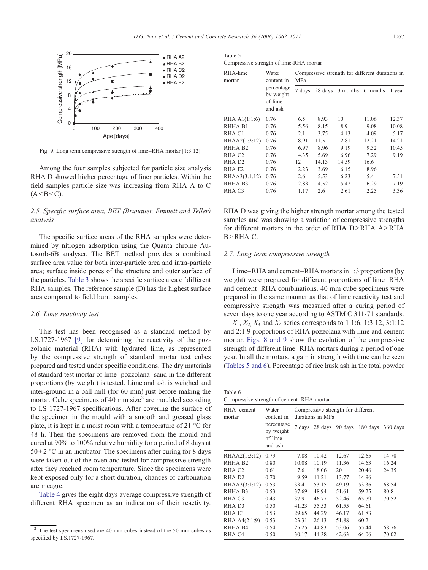

Fig. 9. Long term compressive strength of lime–RHA mortar [1:3:12].

Among the four samples subjected for particle size analysis RHA D showed higher percentage of finer particles. Within the field samples particle size was increasing from RHA A to C  $(A < B < C)$ .

# 2.5. Specific surface area, BET (Brunauer, Emmett and Teller) analysis

The specific surface areas of the RHA samples were determined by nitrogen adsorption using the Quanta chrome Autosorb-6B analyser. The BET method provides a combined surface area value for both inter-particle area and intra-particle area; surface inside pores of the structure and outer surface of the particles. [Table 3](#page-4-0) shows the specific surface area of different RHA samples. The reference sample (D) has the highest surface area compared to field burnt samples.

## 2.6. Lime reactivity test

This test has been recognised as a standard method by I.S.1727-1967 [\[9\]](#page-9-0) for determining the reactivity of the pozzolanic material (RHA) with hydrated lime, as represented by the compressive strength of standard mortar test cubes prepared and tested under specific conditions. The dry materials of standard test mortar of lime–pozzolana–sand in the different proportions (by weight) is tested. Lime and ash is weighed and inter-ground in a ball mill (for 60 min) just before making the mortar. Cube specimens of 40 mm size<sup>2</sup> are moulded according to I.S 1727-1967 specifications. After covering the surface of the specimen in the mould with a smooth and greased glass plate, it is kept in a moist room with a temperature of 21 °C for 48 h. Then the specimens are removed from the mould and cured at 90% to 100% relative humidity for a period of 8 days at  $50 \pm 2$  °C in an incubator. The specimens after curing for 8 days were taken out of the oven and tested for compressive strength after they reached room temperature. Since the specimens were kept exposed only for a short duration, chances of carbonation are meagre.

[Table 4](#page-4-0) gives the eight days average compressive strength of different RHA specimen as an indication of their reactivity.

| Table 5                                 |  |
|-----------------------------------------|--|
| Compressive strength of lime-RHA mortar |  |

| RHA-lime<br>mortar | Water<br>content in                           | Compressive strength for different durations in<br>MPa |         |       |                   |        |  |
|--------------------|-----------------------------------------------|--------------------------------------------------------|---------|-------|-------------------|--------|--|
|                    | percentage<br>by weight<br>of lime<br>and ash | 7 days                                                 | 28 days |       | 3 months 6 months | 1 year |  |
| RHA A1(1:1:6)      | 0.76                                          | 6.5                                                    | 8.93    | 10    | 11.06             | 12.37  |  |
| RHHA <sub>B1</sub> | 0.76                                          | 5.56                                                   | 8.15    | 8.9   | 9.08              | 10.08  |  |
| RHA C1             | 0.76                                          | 2.1                                                    | 3.75    | 4.13  | 4.09              | 5.17   |  |
| RHAA2(1:3:12)      | 0.76                                          | 8.91                                                   | 11.5    | 12.81 | 12.21             | 14.21  |  |
| RHHA <sub>B2</sub> | 0.76                                          | 6.97                                                   | 8.96    | 9.19  | 9.32              | 10.45  |  |
| RHA C <sub>2</sub> | 0.76                                          | 4.35                                                   | 5.69    | 6.96  | 7.29              | 9.19   |  |
| RHA <sub>D2</sub>  | 0.76                                          | 12                                                     | 14.13   | 14.59 | 16.6              |        |  |
| RHA E2             | 0.76                                          | 2.23                                                   | 3.69    | 6.15  | 8.96              |        |  |
| RHAA3(3:1:12)      | 0.76                                          | 2.6                                                    | 5.53    | 6.23  | 5.4               | 7.51   |  |
| RHHAB3             | 0.76                                          | 2.83                                                   | 4.52    | 5.42  | 6.29              | 7.19   |  |
| RHA C3             | 0.76                                          | 1.17                                                   | 2.6     | 2.61  | 2.25              | 3.36   |  |

RHA D was giving the higher strength mortar among the tested samples and was showing a variation of compressive strengths for different mortars in the order of RHA D>RHA  $A > RHA$  $B > RHA C$ .

## 2.7. Long term compressive strength

Lime–RHA and cement–RHA mortars in 1:3 proportions (by weight) were prepared for different proportions of lime–RHA and cement–RHA combinations. 40 mm cube specimens were prepared in the same manner as that of lime reactivity test and compressive strength was measured after a curing period of seven days to one year according to ASTM C 311-71 standards.

 $X_1, X_2, X_3$  and  $X_4$  series corresponds to 1:1:6, 1:3:12, 3:1:12 and 2:1:9 proportions of RHA pozzolana with lime and cement mortar. [Figs. 8 and 9](#page-4-0) show the evolution of the compressive strength of different lime–RHA mortars during a period of one year. In all the mortars, a gain in strength with time can be seen (Tables 5 and 6). Percentage of rice husk ash in the total powder

Table 6 Compressive strength of cement–RHA mortar

| RHA-cement<br>mortar | Water<br>content in                           | Compressive strength for different<br>durations in MPa |       |       |                                          |       |  |
|----------------------|-----------------------------------------------|--------------------------------------------------------|-------|-------|------------------------------------------|-------|--|
|                      | percentage<br>by weight<br>of lime<br>and ash |                                                        |       |       | 7 days 28 days 90 days 180 days 360 days |       |  |
| RHAA2(1:3:12)        | 0.79                                          | 7.88                                                   | 10.42 | 12.67 | 12.65                                    | 14.70 |  |
| RHHA B <sub>2</sub>  | 0.80                                          | 10.08                                                  | 10.19 | 11.36 | 14.63                                    | 16.24 |  |
| RHA C2               | 0.61                                          | 7.6                                                    | 18.06 | 20    | 20.46                                    | 24.35 |  |
| RHA D <sub>2</sub>   | 0.70                                          | 9.59                                                   | 11.21 | 13.77 | 14.96                                    |       |  |
| RHAA3(3:1:12)        | 0.53                                          | 33.4                                                   | 53.15 | 49.19 | 53.36                                    | 68.54 |  |
| RHHA <sub>B3</sub>   | 0.53                                          | 37.69                                                  | 48.94 | 51.61 | 59.25                                    | 80.8  |  |
| RHA C3               | 0.43                                          | 37.9                                                   | 46.77 | 52.46 | 65.79                                    | 70.52 |  |
| RHA D3               | 0.50                                          | 41.23                                                  | 55.53 | 61.55 | 64.61                                    |       |  |
| RHA E3               | 0.53                                          | 29.65                                                  | 44.29 | 46.17 | 61.83                                    |       |  |
| RHA A4(2:1:9)        | 0.53                                          | 23.31                                                  | 26.13 | 51.88 | 60.2                                     |       |  |
| RHHA B4              | 0.54                                          | 25.25                                                  | 44.83 | 53.06 | 55.44                                    | 68.76 |  |
| RHA C4               | 0.50                                          | 30.17                                                  | 44.38 | 42.63 | 64.06                                    | 70.02 |  |
|                      |                                               |                                                        |       |       |                                          |       |  |

 $2$  The test specimens used are 40 mm cubes instead of the 50 mm cubes as specified by I.S.1727-1967.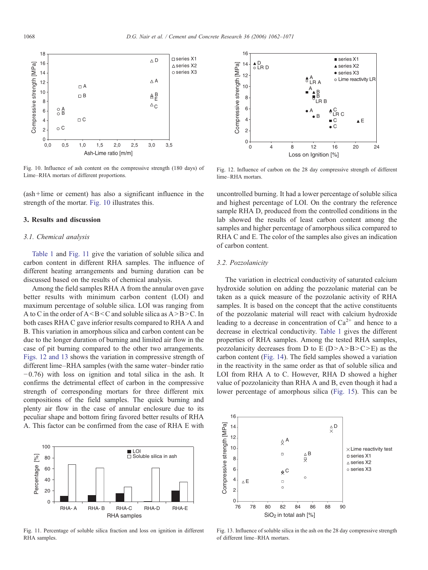

Fig. 10. Influence of ash content on the compressive strength (180 days) of Lime–RHA mortars of different proportions.

 $(a sh + lime or cement)$  has also a significant influence in the strength of the mortar. Fig. 10 illustrates this.

## 3. Results and discussion

#### 3.1. Chemical analysis

[Table 1](#page-1-0) and [Fig. 11](#page-4-0) give the variation of soluble silica and carbon content in different RHA samples. The influence of different heating arrangements and burning duration can be discussed based on the results of chemical analysis.

Among the field samples RHA A from the annular oven gave better results with minimum carbon content (LOI) and maximum percentage of soluble silica. LOI was ranging from A to C in the order of  $A < B < C$  and soluble silica as  $A > B > C$ . In both cases RHA C gave inferior results compared to RHA A and B. This variation in amorphous silica and carbon content can be due to the longer duration of burning and limited air flow in the case of pit burning compared to the other two arrangements. Figs. 12 and 13 shows the variation in compressive strength of different lime–RHA samples (with the same water–binder ratio −0.76) with loss on ignition and total silica in the ash. It confirms the detrimental effect of carbon in the compressive strength of corresponding mortars for three different mix compositions of the field samples. The quick burning and plenty air flow in the case of annular enclosure due to its peculiar shape and bottom firing favored better results of RHA A. This factor can be confirmed from the case of RHA E with



Fig. 11. Percentage of soluble silica fraction and loss on ignition in different RHA samples.



Fig. 12. Influence of carbon on the 28 day compressive strength of different lime–RHA mortars.

uncontrolled burning. It had a lower percentage of soluble silica and highest percentage of LOI. On the contrary the reference sample RHA D, produced from the controlled conditions in the lab showed the results of least carbon content among the samples and higher percentage of amorphous silica compared to RHA C and E. The color of the samples also gives an indication of carbon content.

# 3.2. Pozzolanicity

The variation in electrical conductivity of saturated calcium hydroxide solution on adding the pozzolanic material can be taken as a quick measure of the pozzolanic activity of RHA samples. It is based on the concept that the active constituents of the pozzolanic material will react with calcium hydroxide leading to a decrease in concentration of  $Ca^{2+}$  and hence to a decrease in electrical conductivity. [Table 1](#page-1-0) gives the different properties of RHA samples. Among the tested RHA samples, pozzolanicity decreases from D to E  $(D>A>B>C>E)$  as the carbon content ([Fig. 14](#page-7-0)). The field samples showed a variation in the reactivity in the same order as that of soluble silica and LOI from RHA A to C. However, RHA D showed a higher value of pozzolanicity than RHA A and B, even though it had a lower percentage of amorphous silica ([Fig. 15\)](#page-7-0). This can be



Fig. 13. Influence of soluble silica in the ash on the 28 day compressive strength of different lime–RHA mortars.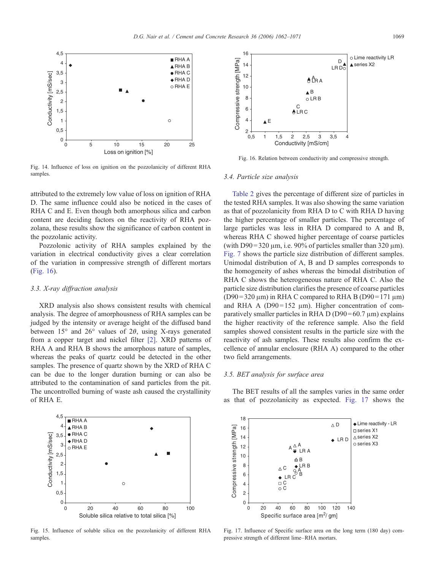<span id="page-7-0"></span>

Fig. 14. Influence of loss on ignition on the pozzolanicity of different RHA samples.

attributed to the extremely low value of loss on ignition of RHA D. The same influence could also be noticed in the cases of RHA C and E. Even though both amorphous silica and carbon content are deciding factors on the reactivity of RHA pozzolana, these results show the significance of carbon content in the pozzolanic activity.

Pozzolonic activity of RHA samples explained by the variation in electrical conductivity gives a clear correlation of the variation in compressive strength of different mortars (Fig. 16).

## 3.3. X-ray diffraction analysis

XRD analysis also shows consistent results with chemical analysis. The degree of amorphousness of RHA samples can be judged by the intensity or average height of the diffused band between  $15^{\circ}$  and  $26^{\circ}$  values of  $2\theta$ , using X-rays generated from a copper target and nickel filter [\[2\].](#page-9-0) XRD patterns of RHA A and RHA B shows the amorphous nature of samples, whereas the peaks of quartz could be detected in the other samples. The presence of quartz shown by the XRD of RHA C can be due to the longer duration burning or can also be attributed to the contamination of sand particles from the pit. The uncontrolled burning of waste ash caused the crystallinity of RHA E.



Fig. 15. Influence of soluble silica on the pozzolanicity of different RHA samples.



Fig. 16. Relation between conductivity and compressive strength.

## 3.4. Particle size analysis

[Table 2](#page-3-0) gives the percentage of different size of particles in the tested RHA samples. It was also showing the same variation as that of pozzolanicity from RHA D to C with RHA D having the higher percentage of smaller particles. The percentage of large particles was less in RHA D compared to A and B, whereas RHA C showed higher percentage of coarse particles (with D90 = 320  $\mu$ m, i.e. 90% of particles smaller than 320  $\mu$ m). [Fig. 7](#page-2-0) shows the particle size distribution of different samples. Unimodal distribution of A, B and D samples corresponds to the homogeneity of ashes whereas the bimodal distribution of RHA C shows the heterogeneous nature of RHA C. Also the particle size distribution clarifies the presence of coarse particles (D90 = 320  $\mu$ m) in RHA C compared to RHA B (D90 = 171  $\mu$ m) and RHA A ( $D90 = 152 \mu m$ ). Higher concentration of comparatively smaller particles in RHA D ( $D90 = 60.7 \mu m$ ) explains the higher reactivity of the reference sample. Also the field samples showed consistent results in the particle size with the reactivity of ash samples. These results also confirm the excellence of annular enclosure (RHA A) compared to the other two field arrangements.

## 3.5. BET analysis for surface area

The BET results of all the samples varies in the same order as that of pozzolanicity as expected. Fig. 17 shows the



Fig. 17. Influence of Specific surface area on the long term (180 day) compressive strength of different lime–RHA mortars.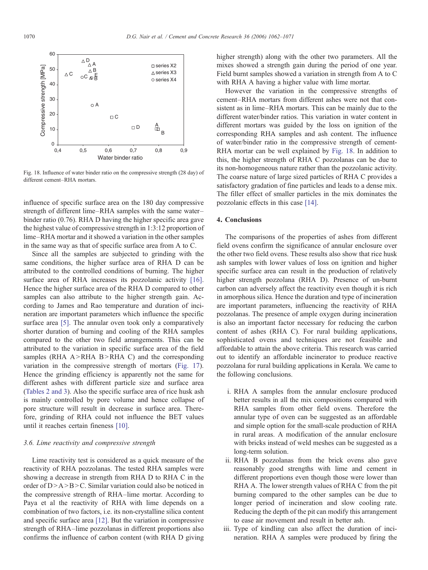

Fig. 18. Influence of water binder ratio on the compressive strength (28 day) of different cement–RHA mortars.

influence of specific surface area on the 180 day compressive strength of different lime–RHA samples with the same water– binder ratio (0.76). RHA D having the higher specific area gave the highest value of compressive strength in 1:3:12 proportion of lime–RHA mortar and it showed a variation in the other samples in the same way as that of specific surface area from A to C.

Since all the samples are subjected to grinding with the same conditions, the higher surface area of RHA D can be attributed to the controlled conditions of burning. The higher surface area of RHA increases its pozzolanic activity [\[16\]](#page-9-0). Hence the higher surface area of the RHA D compared to other samples can also attribute to the higher strength gain. According to James and Rao temperature and duration of incineration are important parameters which influence the specific surface area [\[5\].](#page-9-0) The annular oven took only a comparatively shorter duration of burning and cooling of the RHA samples compared to the other two field arrangements. This can be attributed to the variation in specific surface area of the field samples (RHA  $A > RHA$  B $> RHA$  C) and the corresponding variation in the compressive strength of mortars [\(Fig. 17](#page-7-0)). Hence the grinding efficiency is apparently not the same for different ashes with different particle size and surface area ([Tables 2 and 3\)](#page-3-0). Also the specific surface area of rice husk ash is mainly controlled by pore volume and hence collapse of pore structure will result in decrease in surface area. Therefore, grinding of RHA could not influence the BET values until it reaches certain fineness [\[10\].](#page-9-0)

#### 3.6. Lime reactivity and compressive strength

Lime reactivity test is considered as a quick measure of the reactivity of RHA pozzolanas. The tested RHA samples were showing a decrease in strength from RHA D to RHA C in the order of  $D > A > B > C$ . Similar variation could also be noticed in the compressive strength of RHA–lime mortar. According to Paya et al the reactivity of RHA with lime depends on a combination of two factors, i.e. its non-crystalline silica content and specific surface area [\[12\]](#page-9-0). But the variation in compressive strength of RHA–lime pozzolanas in different proportions also confirms the influence of carbon content (with RHA D giving higher strength) along with the other two parameters. All the mixes showed a strength gain during the period of one year. Field burnt samples showed a variation in strength from A to C with RHA A having a higher value with lime mortar.

However the variation in the compressive strengths of cement–RHA mortars from different ashes were not that consistent as in lime–RHA mortars. This can be mainly due to the different water/binder ratios. This variation in water content in different mortars was guided by the loss on ignition of the corresponding RHA samples and ash content. The influence of water/binder ratio in the compressive strength of cement-RHA mortar can be well explained by Fig. 18. In addition to this, the higher strength of RHA C pozzolanas can be due to its non-homogeneous nature rather than the pozzolanic activity. The coarse nature of large sized particles of RHA C provides a satisfactory gradation of fine particles and leads to a dense mix. The filler effect of smaller particles in the mix dominates the pozzolanic effects in this case [\[14\].](#page-9-0)

#### 4. Conclusions

The comparisons of the properties of ashes from different field ovens confirm the significance of annular enclosure over the other two field ovens. These results also show that rice husk ash samples with lower values of loss on ignition and higher specific surface area can result in the production of relatively higher strength pozzolana (RHA D). Presence of un-burnt carbon can adversely affect the reactivity even though it is rich in amorphous silica. Hence the duration and type of incineration are important parameters, influencing the reactivity of RHA pozzolanas. The presence of ample oxygen during incineration is also an important factor necessary for reducing the carbon content of ashes (RHA C). For rural building applications, sophisticated ovens and techniques are not feasible and affordable to attain the above criteria. This research was carried out to identify an affordable incinerator to produce reactive pozzolana for rural building applications in Kerala. We came to the following conclusions.

- i. RHA A samples from the annular enclosure produced better results in all the mix compositions compared with RHA samples from other field ovens. Therefore the annular type of oven can be suggested as an affordable and simple option for the small-scale production of RHA in rural areas. A modification of the annular enclosure with bricks instead of weld meshes can be suggested as a long-term solution.
- ii. RHA B pozzolanas from the brick ovens also gave reasonably good strengths with lime and cement in different proportions even though those were lower than RHA A. The lower strength values of RHA C from the pit burning compared to the other samples can be due to longer period of incineration and slow cooling rate. Reducing the depth of the pit can modify this arrangement to ease air movement and result in better ash.
- iii. Type of kindling can also affect the duration of incineration. RHA A samples were produced by firing the